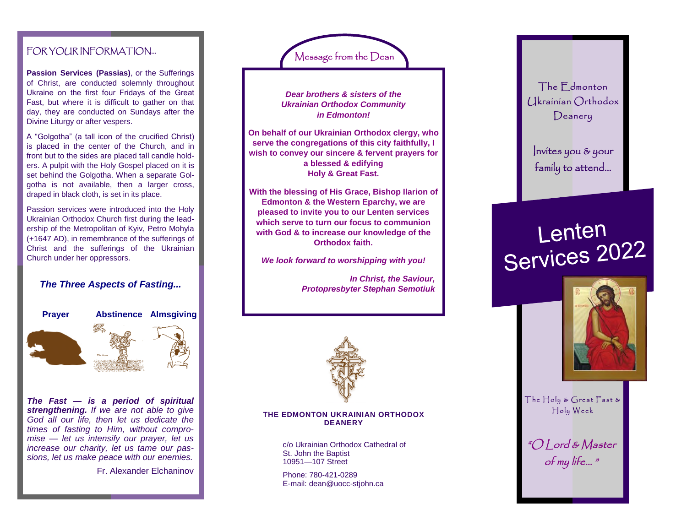# FOR YOUR INFORMATION...

**Passion Services (Passias)**, or the Sufferings of Christ, are conducted solemnly throughout Ukraine on the first four Fridays of the Great Fast, but where it is difficult to gather on that day, they are conducted on Sundays after the Divine Liturgy or after vespers.

A "Golgotha" (a tall icon of the crucified Christ) is placed in the center of the Church, and in front but to the sides are placed tall candle holders. A pulpit with the Holy Gospel placed on it is set behind the Golgotha. When a separate Golgotha is not available, then a larger cross, draped in black cloth, is set in its place.

Passion services were introduced into the Holy Ukrainian Orthodox Church first during the leadership of the Metropolitan of Kyiv, Petro Mohyla (+1647 AD), in remembrance of the sufferings of Christ and the sufferings of the Ukrainian Church under her oppressors.

### *The Three Aspects of Fasting...*



**Abstinence Almsgiving**



*The Fast — is a period of spiritual strengthening. If we are not able to give God all our life, then let us dedicate the times of fasting to Him, without compromise — let us intensify our prayer, let us increase our charity, let us tame our passions, let us make peace with our enemies.*

Fr. Alexander Elchaninov



*Dear brothers & sisters of the Ukrainian Orthodox Community in Edmonton!*

**On behalf of our Ukrainian Orthodox clergy, who serve the congregations of this city faithfully, I wish to convey our sincere & fervent prayers for a blessed & edifying Holy & Great Fast.**

**With the blessing of His Grace, Bishop Ilarion of Edmonton & the Western Eparchy, we are pleased to invite you to our Lenten services which serve to turn our focus to communion with God & to increase our knowledge of the Orthodox faith.**

*We look forward to worshipping with you!*

*In Christ, the Saviour, Protopresbyter Stephan Semotiuk*



#### **THE EDMONTON UKRAINIAN ORTHODOX DEANERY**

c/o Ukrainian Orthodox Cathedral of St. John the Baptist 10951—107 Street

Phone: 780-421-0289 E-mail: dean@uocc-stjohn.ca



Invites you & your family to attend...

# Lenten<br>Services 2022



The  $H$ oly & Great Fast & Holy Week

"O Lord & Master of my life… "